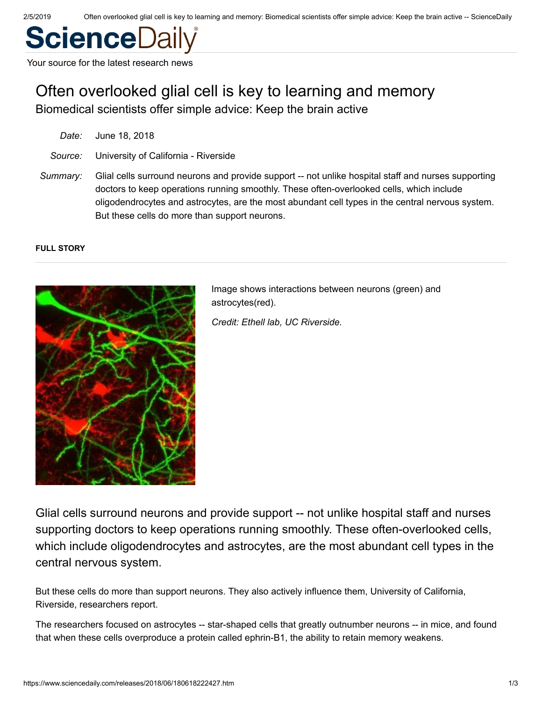# **ScienceD**

Your source for the latest research news

# Often overlooked glial cell is key to learning and memory

Biomedical scientists offer simple advice: Keep the brain active

| Date:    | June 18, 2018                                                                                                                                                                                                                                                                                                                                        |
|----------|------------------------------------------------------------------------------------------------------------------------------------------------------------------------------------------------------------------------------------------------------------------------------------------------------------------------------------------------------|
| Source:  | University of California - Riverside                                                                                                                                                                                                                                                                                                                 |
| Summary: | Glial cells surround neurons and provide support -- not unlike hospital staff and nurses supporting<br>doctors to keep operations running smoothly. These often-overlooked cells, which include<br>oligodendrocytes and astrocytes, are the most abundant cell types in the central nervous system.<br>But these cells do more than support neurons. |

#### **FULL STORY**



Image shows interactions between neurons (green) and astrocytes(red).

*Credit: Ethell lab, UC Riverside.*

Glial cells surround neurons and provide support -- not unlike hospital staff and nurses supporting doctors to keep operations running smoothly. These often-overlooked cells, which include oligodendrocytes and astrocytes, are the most abundant cell types in the central nervous system.

But these cells do more than support neurons. They also actively influence them, University of California, Riverside, researchers report.

The researchers focused on astrocytes -- star-shaped cells that greatly outnumber neurons -- in mice, and found that when these cells overproduce a protein called ephrin-B1, the ability to retain memory weakens.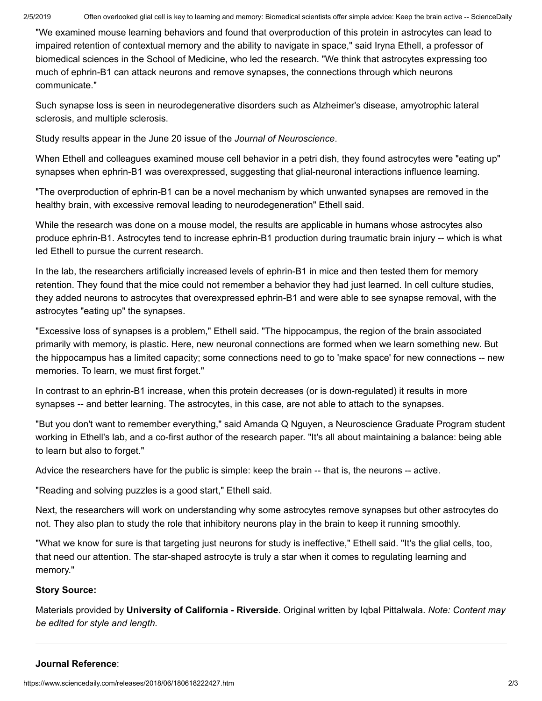"We examined mouse learning behaviors and found that overproduction of this protein in astrocytes can lead to impaired retention of contextual memory and the ability to navigate in space," said Iryna Ethell, a professor of biomedical sciences in the School of Medicine, who led the research. "We think that astrocytes expressing too much of ephrin-B1 can attack neurons and remove synapses, the connections through which neurons communicate."

Such synapse loss is seen in neurodegenerative disorders such as Alzheimer's disease, amyotrophic lateral sclerosis, and multiple sclerosis.

Study results appear in the June 20 issue of the *Journal of Neuroscience*.

When Ethell and colleagues examined mouse cell behavior in a petri dish, they found astrocytes were "eating up" synapses when ephrin-B1 was overexpressed, suggesting that glial-neuronal interactions influence learning.

"The overproduction of ephrin-B1 can be a novel mechanism by which unwanted synapses are removed in the healthy brain, with excessive removal leading to neurodegeneration" Ethell said.

While the research was done on a mouse model, the results are applicable in humans whose astrocytes also produce ephrin-B1. Astrocytes tend to increase ephrin-B1 production during traumatic brain injury -- which is what led Ethell to pursue the current research.

In the lab, the researchers artificially increased levels of ephrin-B1 in mice and then tested them for memory retention. They found that the mice could not remember a behavior they had just learned. In cell culture studies, they added neurons to astrocytes that overexpressed ephrin-B1 and were able to see synapse removal, with the astrocytes "eating up" the synapses.

"Excessive loss of synapses is a problem," Ethell said. "The hippocampus, the region of the brain associated primarily with memory, is plastic. Here, new neuronal connections are formed when we learn something new. But the hippocampus has a limited capacity; some connections need to go to 'make space' for new connections -- new memories. To learn, we must first forget."

In contrast to an ephrin-B1 increase, when this protein decreases (or is down-regulated) it results in more synapses -- and better learning. The astrocytes, in this case, are not able to attach to the synapses.

"But you don't want to remember everything," said Amanda Q Nguyen, a Neuroscience Graduate Program student working in Ethell's lab, and a co-first author of the research paper. "It's all about maintaining a balance: being able to learn but also to forget."

Advice the researchers have for the public is simple: keep the brain -- that is, the neurons -- active.

"Reading and solving puzzles is a good start," Ethell said.

Next, the researchers will work on understanding why some astrocytes remove synapses but other astrocytes do not. They also plan to study the role that inhibitory neurons play in the brain to keep it running smoothly.

"What we know for sure is that targeting just neurons for study is ineffective," Ethell said. "It's the glial cells, too, that need our attention. The star-shaped astrocyte is truly a star when it comes to regulating learning and memory."

## **Story Source:**

[Materials](https://ucrtoday.ucr.edu/54118) provided by **[University of California - Riverside](http://www.ucr.edu/)**. Original written by Iqbal Pittalwala. *Note: Content may be edited for style and length.*

## **Journal Reference**: